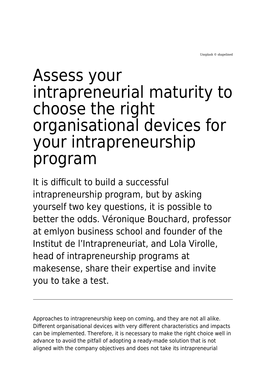## Assess your intrapreneurial maturity to choose the right organisational devices for your intrapreneurship program

It is difficult to build a successful intrapreneurship program, but by asking yourself two key questions, it is possible to better the odds. Véronique Bouchard, professor at emlyon business school and founder of the Institut de l'Intrapreneuriat, and Lola Virolle, head of intrapreneurship programs at makesense, share their expertise and invite you to take a test.

Approaches to intrapreneurship keep on coming, and they are not all alike. Different organisational devices with very different characteristics and impacts can be implemented. Therefore, it is necessary to make the right choice well in advance to avoid the pitfall of adopting a ready-made solution that is not aligned with the company objectives and does not take its intrapreneurial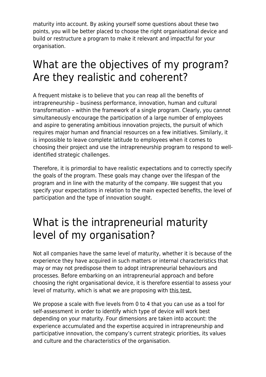maturity into account. By asking yourself some questions about these two points, you will be better placed to choose the right organisational device and build or restructure a program to make it relevant and impactful for your organisation.

## What are the objectives of my program? Are they realistic and coherent?

A frequent mistake is to believe that you can reap all the benefits of intrapreneurship – business performance, innovation, human and cultural transformation – within the framework of a single program. Clearly, you cannot simultaneously encourage the participation of a large number of employees and aspire to generating ambitious innovation projects, the pursuit of which requires major human and financial resources on a few initiatives. Similarly, it is impossible to leave complete latitude to employees when it comes to choosing their project and use the intrapreneurship program to respond to wellidentified strategic challenges.

Therefore, it is primordial to have realistic expectations and to correctly specify the goals of the program. These goals may change over the lifespan of the program and in line with the maturity of the company. We suggest that you specify your expectations in relation to the main expected benefits, the level of participation and the type of innovation sought.

## What is the intrapreneurial maturity level of my organisation?

Not all companies have the same level of maturity, whether it is because of the experience they have acquired in such matters or internal characteristics that may or may not predispose them to adopt intrapreneurial behaviours and processes. Before embarking on an intrapreneurial approach and before choosing the right organisational device, it is therefore essential to assess your level of maturity, which is what we are proposing with [this test.](https://makesense.typeform.com/to/Kf0LHMyI)

We propose a scale with five levels from 0 to 4 that you can use as a tool for self-assessment in order to identify which type of device will work best depending on your maturity. Four dimensions are taken into account: the experience accumulated and the expertise acquired in intrapreneurship and participative innovation, the company's current strategic priorities, its values and culture and the characteristics of the organisation.